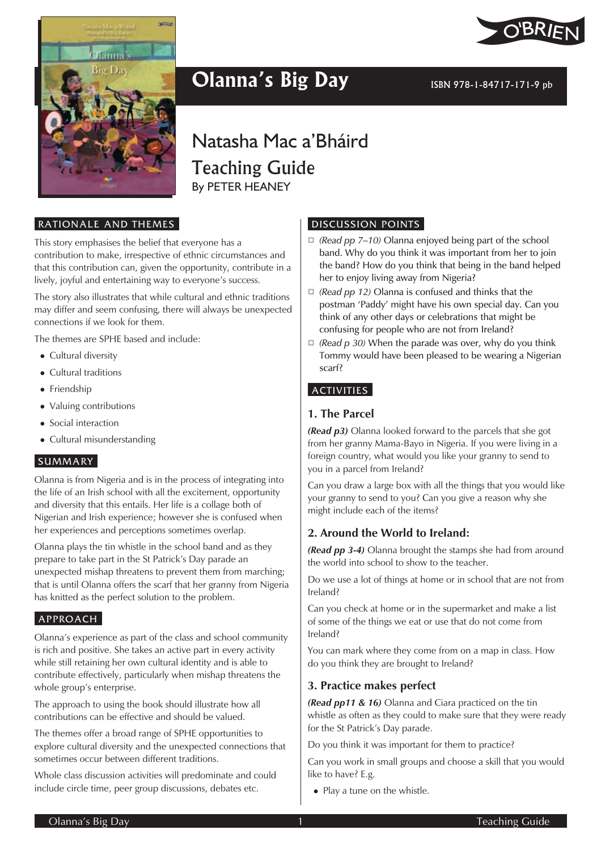

## **Olanna's Big Day ISBN 978-1-84717-171-9 pb**



Natasha Mac a'Bháird Teaching Guide By PETER HEANEY

#### RATIONALE AND THEMES

This story emphasises the belief that everyone has a contribution to make, irrespective of ethnic circumstances and that this contribution can, given the opportunity, contribute in a lively, joyful and entertaining way to everyone's success.

The story also illustrates that while cultural and ethnic traditions may differ and seem confusing, there will always be unexpected connections if we look for them.

The themes are SPHE based and include:

- Cultural diversity
- Cultural traditions
- Friendship
- Valuing contributions
- Social interaction
- Cultural misunderstanding

### **SUMMARY**

Olanna is from Nigeria and is in the process of integrating into the life of an Irish school with all the excitement, opportunity and diversity that this entails. Her life is a collage both of Nigerian and Irish experience; however she is confused when her experiences and perceptions sometimes overlap.

Olanna plays the tin whistle in the school band and as they prepare to take part in the St Patrick's Day parade an unexpected mishap threatens to prevent them from marching; that is until Olanna offers the scarf that her granny from Nigeria has knitted as the perfect solution to the problem.

### APPROACH

Olanna's experience as part of the class and school community is rich and positive. She takes an active part in every activity while still retaining her own cultural identity and is able to contribute effectively, particularly when mishap threatens the whole group's enterprise.

The approach to using the book should illustrate how all contributions can be effective and should be valued.

The themes offer a broad range of SPHE opportunities to explore cultural diversity and the unexpected connections that sometimes occur between different traditions.

Whole class discussion activities will predominate and could include circle time, peer group discussions, debates etc.

#### DISCUSSION POINTS

- *(Read pp 7–10)* Olanna enjoyed being part of the school band. Why do you think it was important from her to join the band? How do you think that being in the band helped her to enjoy living away from Nigeria?
- *(Read pp 12)* Olanna is confused and thinks that the postman 'Paddy' might have his own special day. Can you think of any other days or celebrations that might be confusing for people who are not from Ireland?
- *(Read p 30)* When the parade was over, why do you think Tommy would have been pleased to be wearing a Nigerian scarf?

### **ACTIVITIES**

### **1. The Parcel**

*(Read p3)* Olanna looked forward to the parcels that she got from her granny Mama-Bayo in Nigeria. If you were living in a foreign country, what would you like your granny to send to you in a parcel from Ireland?

Can you draw a large box with all the things that you would like your granny to send to you? Can you give a reason why she might include each of the items?

### **2. Around the World to Ireland:**

*(Read pp 3-4)* Olanna brought the stamps she had from around the world into school to show to the teacher.

Do we use a lot of things at home or in school that are not from Ireland?

Can you check at home or in the supermarket and make a list of some of the things we eat or use that do not come from Ireland?

You can mark where they come from on a map in class. How do you think they are brought to Ireland?

## **3. Practice makes perfect**

*(Read pp11 & 16)* Olanna and Ciara practiced on the tin whistle as often as they could to make sure that they were ready for the St Patrick's Day parade.

Do you think it was important for them to practice?

Can you work in small groups and choose a skill that you would like to have? E.g.

• Play a tune on the whistle.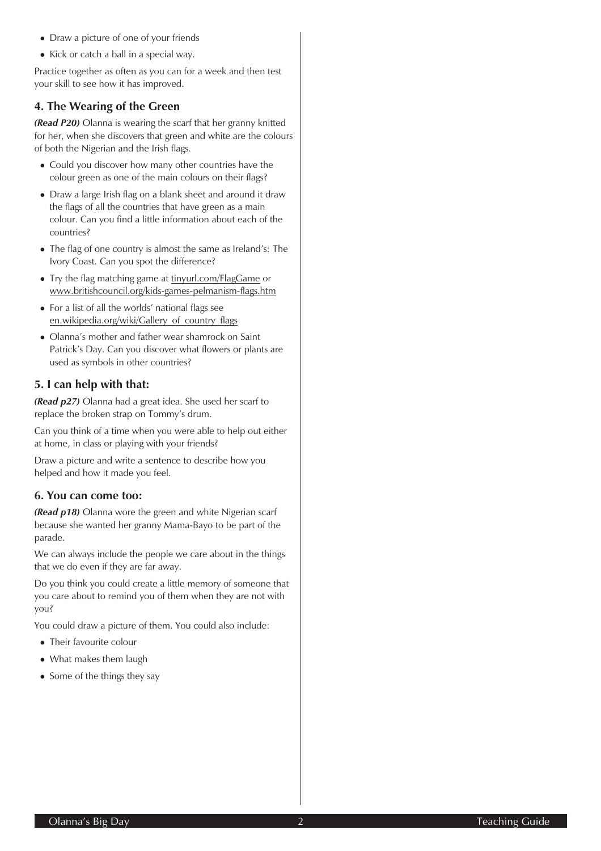- Draw a picture of one of your friends
- Kick or catch a ball in a special way.

Practice together as often as you can for a week and then test your skill to see how it has improved.

## **4. The Wearing of the Green**

*(Read P20)* Olanna is wearing the scarf that her granny knitted for her, when she discovers that green and white are the colours of both the Nigerian and the Irish flags.

- Could you discover how many other countries have the colour green as one of the main colours on their flags?
- Draw a large Irish flag on a blank sheet and around it draw the flags of all the countries that have green as a main colour. Can you find a little information about each of the countries?
- The flag of one country is almost the same as Ireland's: The Ivory Coast. Can you spot the difference?
- Try the flag matching game at tinyurl.com/FlagGame or www.britishcouncil.org/kids-games-pelmanism-flags.htm
- For a list of all the worlds' national flags see en.wikipedia.org/wiki/Gallery\_of\_country\_flags
- Olanna's mother and father wear shamrock on Saint Patrick's Day. Can you discover what flowers or plants are used as symbols in other countries?

## **5. I can help with that:**

*(Read p27)* Olanna had a great idea. She used her scarf to replace the broken strap on Tommy's drum.

Can you think of a time when you were able to help out either at home, in class or playing with your friends?

Draw a picture and write a sentence to describe how you helped and how it made you feel.

## **6. You can come too:**

*(Read p18)* Olanna wore the green and white Nigerian scarf because she wanted her granny Mama-Bayo to be part of the parade.

We can always include the people we care about in the things that we do even if they are far away.

Do you think you could create a little memory of someone that you care about to remind you of them when they are not with you?

You could draw a picture of them. You could also include:

- Their favourite colour
- What makes them laugh
- Some of the things they say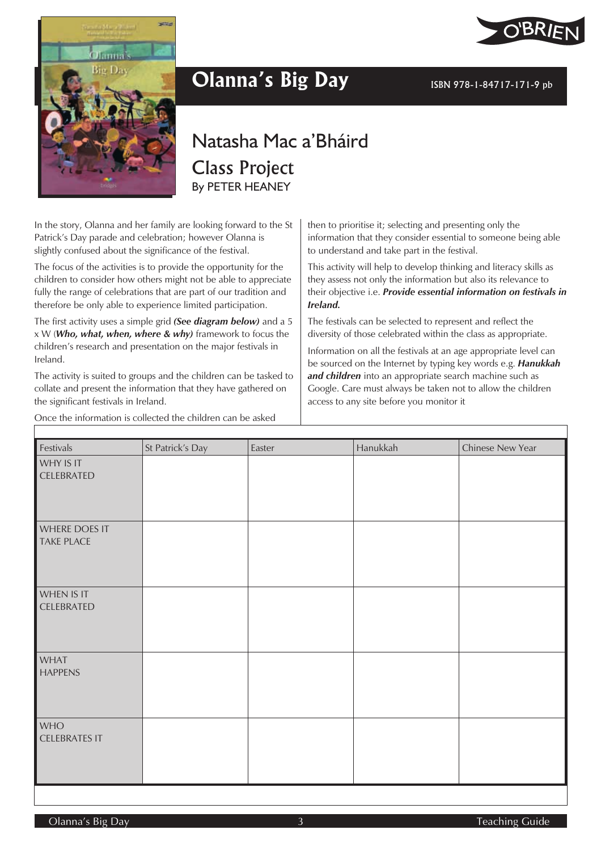



# **Olanna's Big Day ISBN 978-1-84717-171-9 pb**

## Natasha Mac a'Bháird Class Project By PETER HEANEY

In the story, Olanna and her family are looking forward to the St Patrick's Day parade and celebration; however Olanna is slightly confused about the significance of the festival.

The focus of the activities is to provide the opportunity for the children to consider how others might not be able to appreciate fully the range of celebrations that are part of our tradition and therefore be only able to experience limited participation.

The first activity uses a simple grid *(See diagram below)* and a 5 xW(*Who, what, when, where & why)* framework to focus the children's research and presentation on the major festivals in Ireland.

The activity is suited to groups and the children can be tasked to collate and present the information that they have gathered on the significant festivals in Ireland.

Once the information is collected the children can be asked

then to prioritise it; selecting and presenting only the information that they consider essential to someone being able to understand and take part in the festival.

This activity will help to develop thinking and literacy skills as they assess not only the information but also its relevance to their objective i.e. *Provide essential information on festivals in Ireland.*

The festivals can be selected to represent and reflect the diversity of those celebrated within the class as appropriate.

Information on all the festivals at an age appropriate level can be sourced on the Internet by typing key words e.g. *Hanukkah and children* into an appropriate search machine such as Google. Care must always be taken not to allow the children access to any site before you monitor it

Festivals St Patrick's Day Easter Hanukkah Chinese New Year WHY IS IT CELEBRATED WHERE DOES IT TAKE PLACE WHEN IS IT CELEBRATED WHAT HAPPENS **WHO** CELEBRATES IT